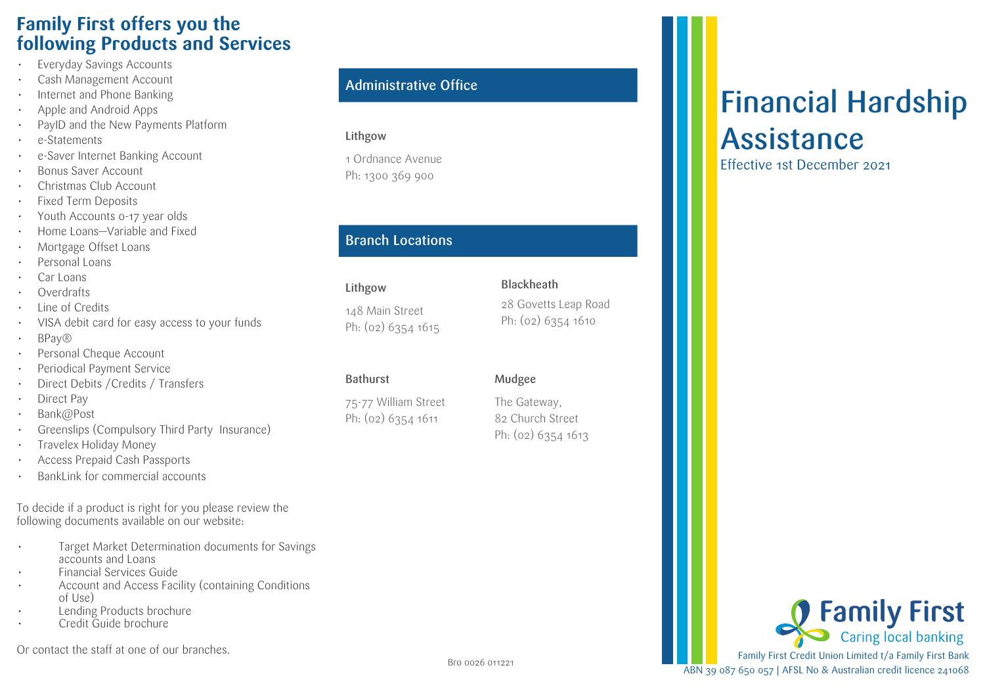# **Family First offers you the following Products and Services**

- Everyday Savings Accounts
- Cash Management Account
- Internet and Phone Banking
- Apple and Android Apps
- PayID and the New Payments Platform
- e-Statements
- e-Saver Internet Banking Account
- Bonus Saver Account
- Christmas Club Account
- Fixed Term Deposits
- Youth Accounts 0-17 year olds
- Home Loans—Variable and Fixed
- Mortgage Offset Loans
- Personal Loans
- Car Loans
- Overdrafts
- Line of Credits
- VISA debit card for easy access to your funds
- BPay®
- Personal Cheque Account
- Periodical Payment Service
- Direct Debits /Credits / Transfers
- Direct Pay
- Bank@Post
- Greenslips (Compulsory Third Party Insurance)
- Travelex Holiday Money
- Access Prepaid Cash Passports
- BankLink for commercial accounts

To decide if a product is right for you please review the following documents available on our website:

- Target Market Determination documents for Savings accounts and Loans
- Financial Services Guide
- Account and Access Facility (containing Conditions of Use)
- Lending Products brochure
- Credit Guide brochure

Or contact the staff at one of our branches.

#### Administrative Office

#### Lithgow

1 Ordnance Avenue Ph: 1300 369 900

#### Branch Locations

#### Lithgow

148 Main Street Ph: (02) 6354 1615

#### Bathurst

75-77 William Street Ph: (02) 6354 1611

# Mudgee

The Gateway, 82 Church Street Ph: (02) 6354 1613

# Financial Hardship Assistance

Effective 1st December 2021

Ph: (02) 6354 1610

28 Govetts Leap Road

**Blackheath**